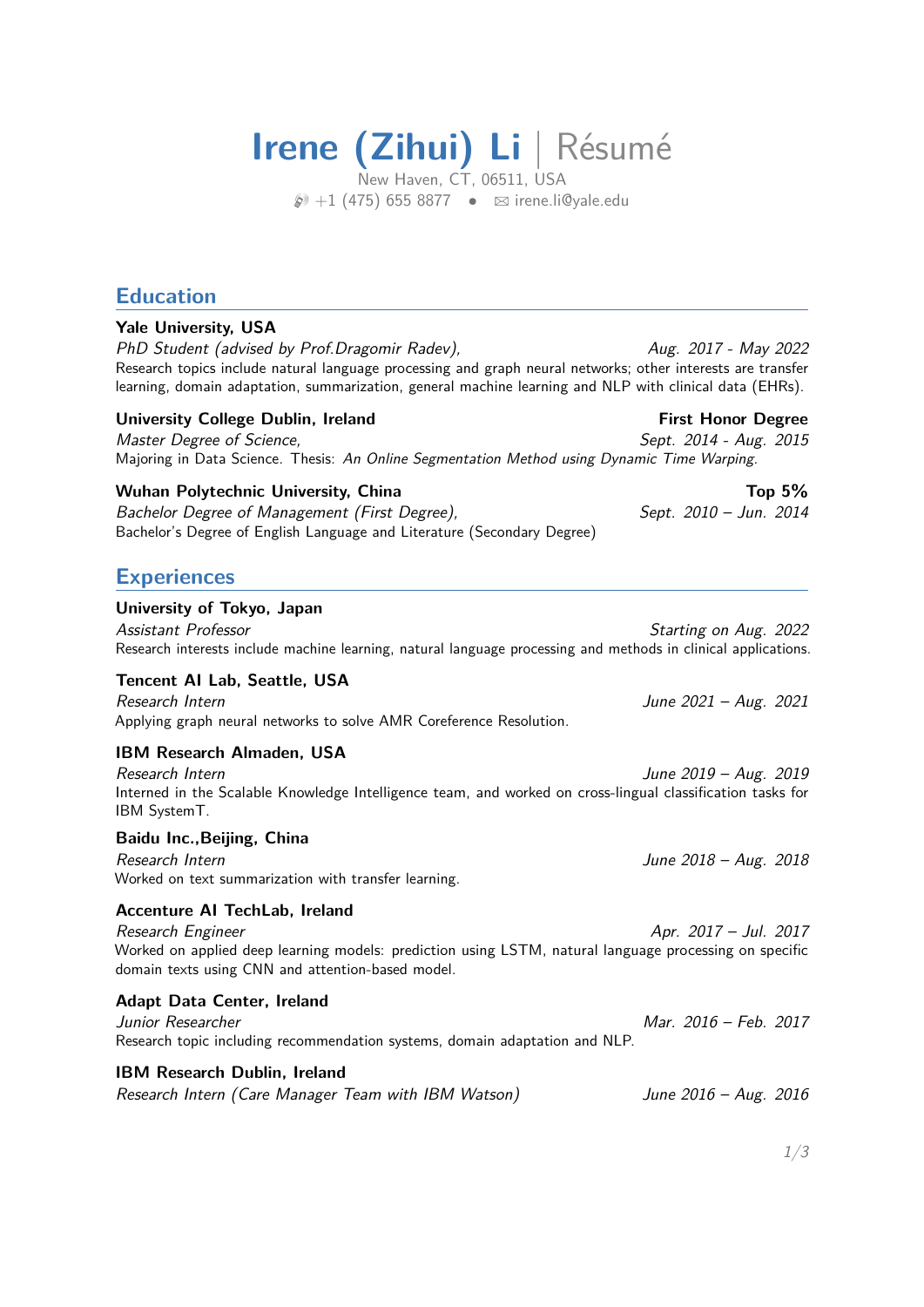# **Irene (Zihui) Li** | Résumé

New Haven, CT, 06511, USA  $\wp$ +1 (475) 655 8877 •  $\boxtimes$  irene.li@vale.edu

# **Education**

#### **Yale University, USA**

PhD Student (advised by Prof.Dragomir Radev),  $\mu$  Aug. 2017 - May 2022 Research topics include natural language processing and graph neural networks; other interests are transfer learning, domain adaptation, summarization, general machine learning and NLP with clinical data (EHRs).

## University College Dublin, Ireland **First Honor Degree**

Master Degree of Science, No. 2014 - Aug. 2015 Majoring in Data Science. Thesis: An Online Segmentation Method using Dynamic Time Warping.

## Wuhan Polytechnic University, China Top 5%

Bachelor Degree of Management (First Degree), Sept. 2010 – Jun. 2014 Bachelor's Degree of English Language and Literature (Secondary Degree)

# **Experiences**

#### **University of Tokyo, Japan**

Assistant Professor **Starting on Aug. 2022** Research interests include machine learning, natural language processing and methods in clinical applications.

# **Tencent AI Lab, Seattle, USA**

Research Intern June 2021 – Aug. 2021 Applying graph neural networks to solve AMR Coreference Resolution.

# **IBM Research Almaden, USA**

| Research Intern                                                                                            | June 2019 - Aug. 2019 |
|------------------------------------------------------------------------------------------------------------|-----------------------|
| Interned in the Scalable Knowledge Intelligence team, and worked on cross-lingual classification tasks for |                       |
| <b>IBM SystemT.</b>                                                                                        |                       |

#### **Baidu Inc.,Beijing, China**

Research Intern June 2018 – Aug. 2018 Worked on text summarization with transfer learning.

# **Accenture AI TechLab, Ireland**

Research Engineer Apr. 2017 – Jul. 2017 Worked on applied deep learning models: prediction using LSTM, natural language processing on specific domain texts using CNN and attention-based model.

#### **Adapt Data Center, Ireland**

# Junior Researcher Mar. 2016 – Feb. 2017 Research topic including recommendation systems, domain adaptation and NLP.

# **IBM Research Dublin, Ireland**

Research Intern (Care Manager Team with IBM Watson) June 2016 - Aug. 2016

1[/3](#page-2-0)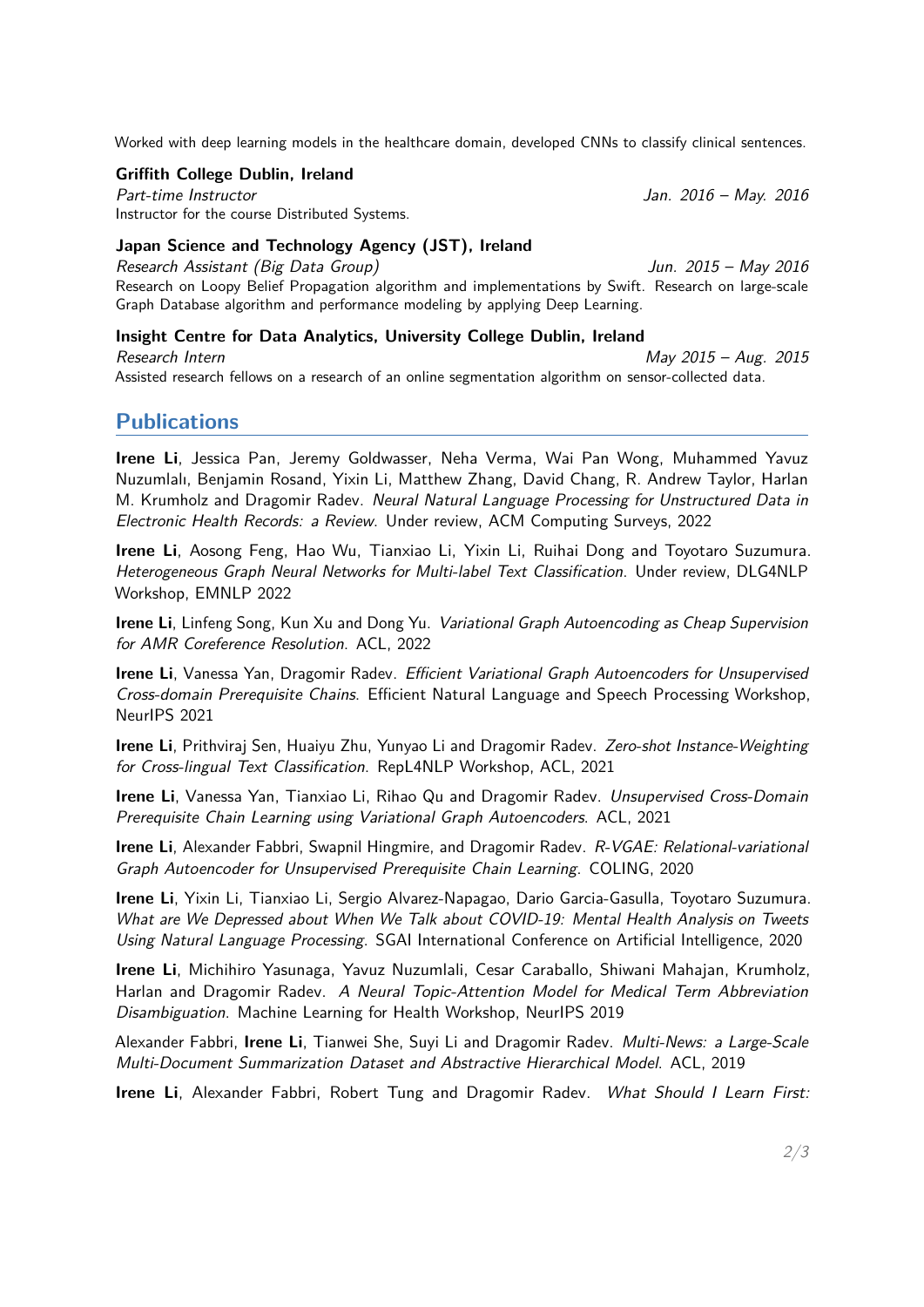Worked with deep learning models in the healthcare domain, developed CNNs to classify clinical sentences.

#### **Griffith College Dublin, Ireland**

Part-time Instructor and Table 1.1 and 2016 – May. 2016 – May. 2016 Instructor for the course Distributed Systems.

## **Japan Science and Technology Agency (JST), Ireland**

Research Assistant (Big Data Group) Jun. 2015 – May 2016 Research on Loopy Belief Propagation algorithm and implementations by Swift. Research on large-scale Graph Database algorithm and performance modeling by applying Deep Learning.

#### **Insight Centre for Data Analytics, University College Dublin, Ireland**

Research Intern May 2015 – Aug. 2015 Assisted research fellows on a research of an online segmentation algorithm on sensor-collected data.

# **Publications**

**Irene Li**, Jessica Pan, Jeremy Goldwasser, Neha Verma, Wai Pan Wong, Muhammed Yavuz Nuzumlalı, Benjamin Rosand, Yixin Li, Matthew Zhang, David Chang, R. Andrew Taylor, Harlan M. Krumholz and Dragomir Radev. Neural Natural Language Processing for Unstructured Data in Electronic Health Records: a Review. Under review, ACM Computing Surveys, 2022

**Irene Li**, Aosong Feng, Hao Wu, Tianxiao Li, Yixin Li, Ruihai Dong and Toyotaro Suzumura. Heterogeneous Graph Neural Networks for Multi-label Text Classification. Under review, DLG4NLP Workshop, EMNLP 2022

**Irene Li**, Linfeng Song, Kun Xu and Dong Yu. Variational Graph Autoencoding as Cheap Supervision for AMR Coreference Resolution. ACL, 2022

**Irene Li**, Vanessa Yan, Dragomir Radev. *Efficient Variational Graph Autoencoders for Unsupervised* Cross-domain Prerequisite Chains. Efficient Natural Language and Speech Processing Workshop, NeurIPS 2021

**Irene Li**, Prithviraj Sen, Huaiyu Zhu, Yunyao Li and Dragomir Radev. Zero-shot Instance-Weighting for Cross-lingual Text Classification. RepL4NLP Workshop, ACL, 2021

**Irene Li**, Vanessa Yan, Tianxiao Li, Rihao Qu and Dragomir Radev. Unsupervised Cross-Domain Prerequisite Chain Learning using Variational Graph Autoencoders. ACL, 2021

**Irene Li**, Alexander Fabbri, Swapnil Hingmire, and Dragomir Radev. R-VGAE: Relational-variational Graph Autoencoder for Unsupervised Prerequisite Chain Learning. COLING, 2020

**Irene Li**, Yixin Li, Tianxiao Li, Sergio Alvarez-Napagao, Dario Garcia-Gasulla, Toyotaro Suzumura. What are We Depressed about When We Talk about COVID-19: Mental Health Analysis on Tweets Using Natural Language Processing. SGAI International Conference on Artificial Intelligence, 2020

**Irene Li**, Michihiro Yasunaga, Yavuz Nuzumlali, Cesar Caraballo, Shiwani Mahajan, Krumholz, Harlan and Dragomir Radev. A Neural Topic-Attention Model for Medical Term Abbreviation Disambiguation. Machine Learning for Health Workshop, NeurIPS 2019

Alexander Fabbri, **Irene Li**, Tianwei She, Suyi Li and Dragomir Radev. Multi-News: a Large-Scale Multi-Document Summarization Dataset and Abstractive Hierarchical Model. ACL, 2019

**Irene Li**, Alexander Fabbri, Robert Tung and Dragomir Radev. What Should I Learn First: